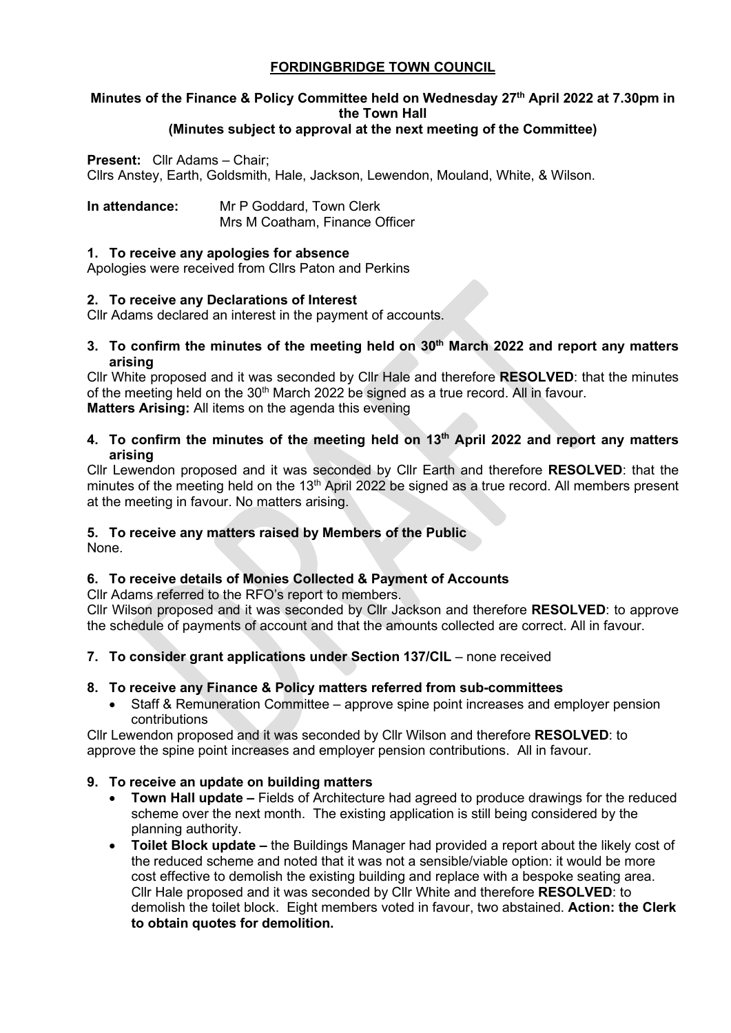## **FORDINGBRIDGE TOWN COUNCIL**

# **Minutes of the Finance & Policy Committee held on Wednesday 27th April 2022 at 7.30pm in the Town Hall**

## **(Minutes subject to approval at the next meeting of the Committee)**

## **Present:** Cllr Adams – Chair;

Cllrs Anstey, Earth, Goldsmith, Hale, Jackson, Lewendon, Mouland, White, & Wilson.

**In attendance:** Mr P Goddard, Town Clerk Mrs M Coatham, Finance Officer

#### **1. To receive any apologies for absence**

Apologies were received from Cllrs Paton and Perkins

## **2. To receive any Declarations of Interest**

Cllr Adams declared an interest in the payment of accounts.

**3. To confirm the minutes of the meeting held on 30th March 2022 and report any matters arising**

Cllr White proposed and it was seconded by Cllr Hale and therefore **RESOLVED**: that the minutes of the meeting held on the  $30<sup>th</sup>$  March 2022 be signed as a true record. All in favour. **Matters Arising:** All items on the agenda this evening

#### **4. To confirm the minutes of the meeting held on 13th April 2022 and report any matters arising**

Cllr Lewendon proposed and it was seconded by Cllr Earth and therefore **RESOLVED**: that the minutes of the meeting held on the 13<sup>th</sup> April 2022 be signed as a true record. All members present at the meeting in favour. No matters arising.

## **5. To receive any matters raised by Members of the Public**

None.

## **6. To receive details of Monies Collected & Payment of Accounts**

Cllr Adams referred to the RFO's report to members.

Cllr Wilson proposed and it was seconded by Cllr Jackson and therefore **RESOLVED**: to approve the schedule of payments of account and that the amounts collected are correct. All in favour.

**7. To consider grant applications under Section 137/CIL** – none received

## **8. To receive any Finance & Policy matters referred from sub-committees**

• Staff & Remuneration Committee – approve spine point increases and employer pension contributions

Cllr Lewendon proposed and it was seconded by Cllr Wilson and therefore **RESOLVED**: to approve the spine point increases and employer pension contributions. All in favour.

## **9. To receive an update on building matters**

- **Town Hall update** Fields of Architecture had agreed to produce drawings for the reduced scheme over the next month. The existing application is still being considered by the planning authority.
- **Toilet Block update** the Buildings Manager had provided a report about the likely cost of the reduced scheme and noted that it was not a sensible/viable option: it would be more cost effective to demolish the existing building and replace with a bespoke seating area. Cllr Hale proposed and it was seconded by Cllr White and therefore **RESOLVED**: to demolish the toilet block. Eight members voted in favour, two abstained. **Action: the Clerk to obtain quotes for demolition.**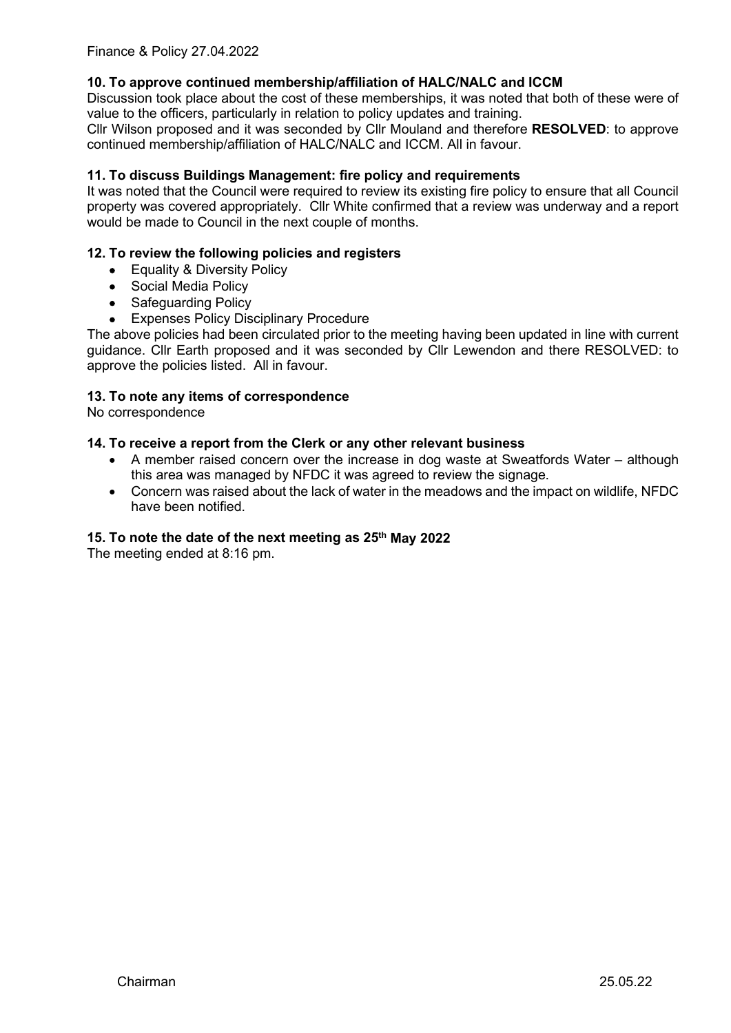## **10. To approve continued membership/affiliation of HALC/NALC and ICCM**

Discussion took place about the cost of these memberships, it was noted that both of these were of value to the officers, particularly in relation to policy updates and training.

Cllr Wilson proposed and it was seconded by Cllr Mouland and therefore **RESOLVED**: to approve continued membership/affiliation of HALC/NALC and ICCM. All in favour.

## **11. To discuss Buildings Management: fire policy and requirements**

It was noted that the Council were required to review its existing fire policy to ensure that all Council property was covered appropriately. Cllr White confirmed that a review was underway and a report would be made to Council in the next couple of months.

#### **12. To review the following policies and registers**

- Equality & Diversity Policy
- Social Media Policy
- Safeguarding Policy
- Expenses Policy Disciplinary Procedure

The above policies had been circulated prior to the meeting having been updated in line with current guidance. Cllr Earth proposed and it was seconded by Cllr Lewendon and there RESOLVED: to approve the policies listed. All in favour.

#### **13. To note any items of correspondence**

No correspondence

#### **14. To receive a report from the Clerk or any other relevant business**

- A member raised concern over the increase in dog waste at Sweatfords Water although this area was managed by NFDC it was agreed to review the signage.
- Concern was raised about the lack of water in the meadows and the impact on wildlife, NFDC have been notified.

#### **15. To note the date of the next meeting as 25th May 2022**

The meeting ended at 8:16 pm.